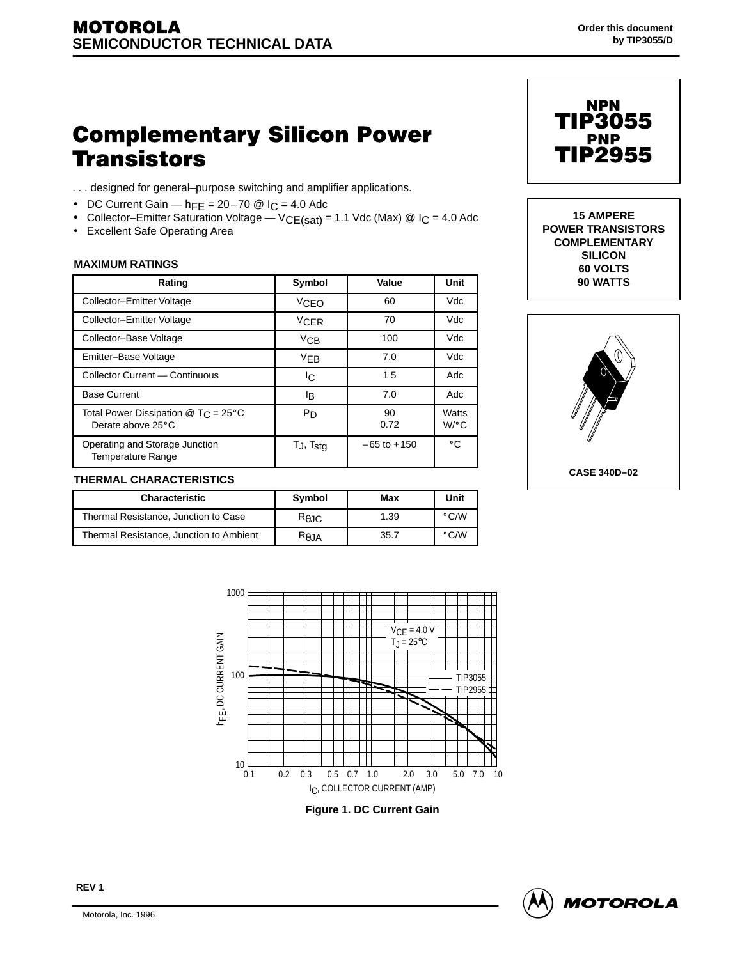# **Complementary Silicon Power Transistors**

- . . . designed for general–purpose switching and amplifier applications.
- DC Current Gain  $h_{\text{FE}} = 20 70$  @  $I_{\text{C}} = 4.0$  Adc
- Collector–Emitter Saturation Voltage  $VCE(sat) = 1.1$  Vdc (Max) @ I<sub>C</sub> = 4.0 Adc
- Excellent Safe Operating Area

#### **MAXIMUM RATINGS**

| Rating                                                     | Symbol            | Value           | <b>Unit</b>     |
|------------------------------------------------------------|-------------------|-----------------|-----------------|
| Collector-Emitter Voltage                                  | <b>VCEO</b>       | 60              | Vdc             |
| Collector-Emitter Voltage                                  | <b>VCER</b>       | 70              | Vdc             |
| Collector-Base Voltage                                     | VCB               | 100             | Vdc             |
| Emitter-Base Voltage                                       | V <sub>EB</sub>   | 7.0             | Vdc             |
| Collector Current - Continuous                             | IC.               | 15              | Adc             |
| <b>Base Current</b>                                        | l <sub>B</sub>    | 7.0             | Adc             |
| Total Power Dissipation $@T_C = 25°C$<br>Derate above 25°C | P <sub>D</sub>    | 90<br>0.72      | Watts<br>$W$ °C |
| Operating and Storage Junction<br><b>Temperature Range</b> | $T_J$ , $T_{stg}$ | $-65$ to $+150$ | $^{\circ}$ C    |

## TIP3055 TIP2955 **NPN PNP**

 **MAXIMUM RATINGS 15 AMPERE POWER TRANSISTORS COMPLEMENTARY SILICON 60 VOLTS**



| THERMAL CHARACTERISTICS |                                         |                 |      |                |  |
|-------------------------|-----------------------------------------|-----------------|------|----------------|--|
|                         | <b>Characteristic</b>                   | Symbol          | Max  | Unit           |  |
|                         | Thermal Resistance, Junction to Case    | $R_{\theta$ JC  | .39  | $^{\circ}$ C/W |  |
|                         | Thermal Resistance, Junction to Ambient | $R_{\theta}$ JA | 35.7 | $^{\circ}$ C/W |  |



**Figure 1. DC Current Gain**

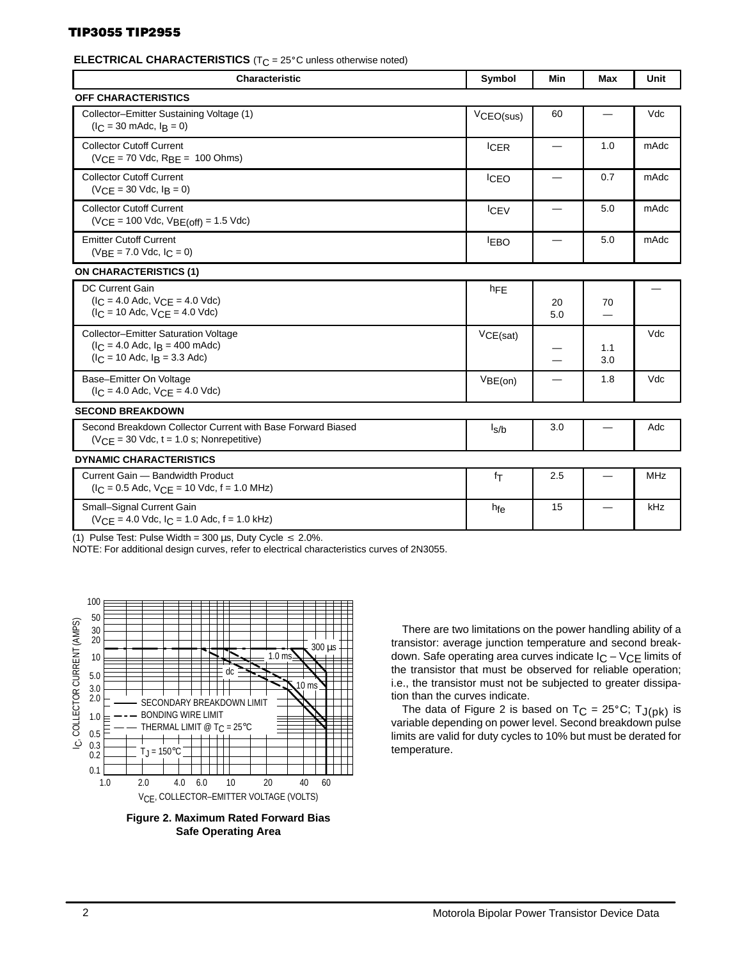### TIP3055 TIP2955

#### 

| <b>Characteristic</b>                                                                                            | Symbol      | Min                           | <b>Max</b>               | Unit       |
|------------------------------------------------------------------------------------------------------------------|-------------|-------------------------------|--------------------------|------------|
| OFF CHARACTERISTICS                                                                                              |             |                               |                          |            |
| Collector-Emitter Sustaining Voltage (1)<br>$(l_C = 30 \text{ m}$ Adc, $l_B = 0$ )                               | VCEO(sus)   | 60                            | $\qquad \qquad$          | Vdc        |
| <b>Collector Cutoff Current</b><br>$(VCE = 70$ Vdc, $RBE = 100$ Ohms)                                            | <b>ICER</b> | $\overbrace{\phantom{13333}}$ | 1.0                      | mAdc       |
| <b>Collector Cutoff Current</b><br>$(VCE = 30$ Vdc, $I_B = 0)$                                                   | <b>ICEO</b> | $\overline{\phantom{0}}$      | 0.7                      | mAdc       |
| <b>Collector Cutoff Current</b><br>$(VCE = 100$ Vdc, $VBE(off) = 1.5$ Vdc)                                       | <b>ICEV</b> |                               | 5.0                      | mAdc       |
| <b>Emitter Cutoff Current</b><br>$(VBE = 7.0$ Vdc, $IC = 0)$                                                     | <b>EBO</b>  |                               | 5.0                      | mAdc       |
| <b>ON CHARACTERISTICS (1)</b>                                                                                    |             |                               |                          |            |
| DC Current Gain<br>$(I_C = 4.0$ Adc, $V_{CE} = 4.0$ Vdc)<br>$(I_C = 10$ Adc, $V_{CF} = 4.0$ Vdc)                 | $h_{FE}$    | 20<br>5.0                     | 70<br>—                  | —          |
| Collector-Emitter Saturation Voltage<br>$(I_C = 4.0$ Adc, $I_B = 400$ mAdc)<br>$(I_C = 10$ Adc, $I_B = 3.3$ Adc) | VCE(sat)    |                               | 1.1<br>3.0               | Vdc        |
| Base-Emitter On Voltage<br>$(I_C = 4.0$ Adc, $V_{CE} = 4.0$ Vdc)                                                 | VBE(on)     | $\overline{\phantom{0}}$      | 1.8                      | Vdc        |
| <b>SECOND BREAKDOWN</b>                                                                                          |             |                               |                          |            |
| Second Breakdown Collector Current with Base Forward Biased<br>$(VCE = 30$ Vdc, $t = 1.0$ s; Nonrepetitive)      | $I_S/b$     | 3.0                           |                          | Adc        |
| <b>DYNAMIC CHARACTERISTICS</b>                                                                                   |             |                               |                          |            |
| Current Gain - Bandwidth Product<br>$(I_C = 0.5$ Adc, $V_{CF} = 10$ Vdc, f = 1.0 MHz)                            | fτ          | 2.5                           | $\overline{\phantom{0}}$ | <b>MHz</b> |
| Small-Signal Current Gain<br>$(VCE = 4.0$ Vdc, $IC = 1.0$ Adc, $f = 1.0$ kHz)                                    | hfe         | 15                            | —                        | kHz        |

(1) Pulse Test: Pulse Width = 300 µs, Duty Cycle  $\leq$  2.0%.

NOTE: For additional design curves, refer to electrical characteristics curves of 2N3055.



**Figure 2. Maximum Rated Forward Bias Safe Operating Area**

There are two limitations on the power handling ability of a transistor: average junction temperature and second breakdown. Safe operating area curves indicate  $IC - VCE$  limits of the transistor that must be observed for reliable operation; i.e., the transistor must not be subjected to greater dissipation than the curves indicate.

The data of Figure 2 is based on  $T_C = 25^{\circ}C$ ;  $T_{J(pk)}$  is variable depending on power level. Second breakdown pulse limits are valid for duty cycles to 10% but must be derated for temperature.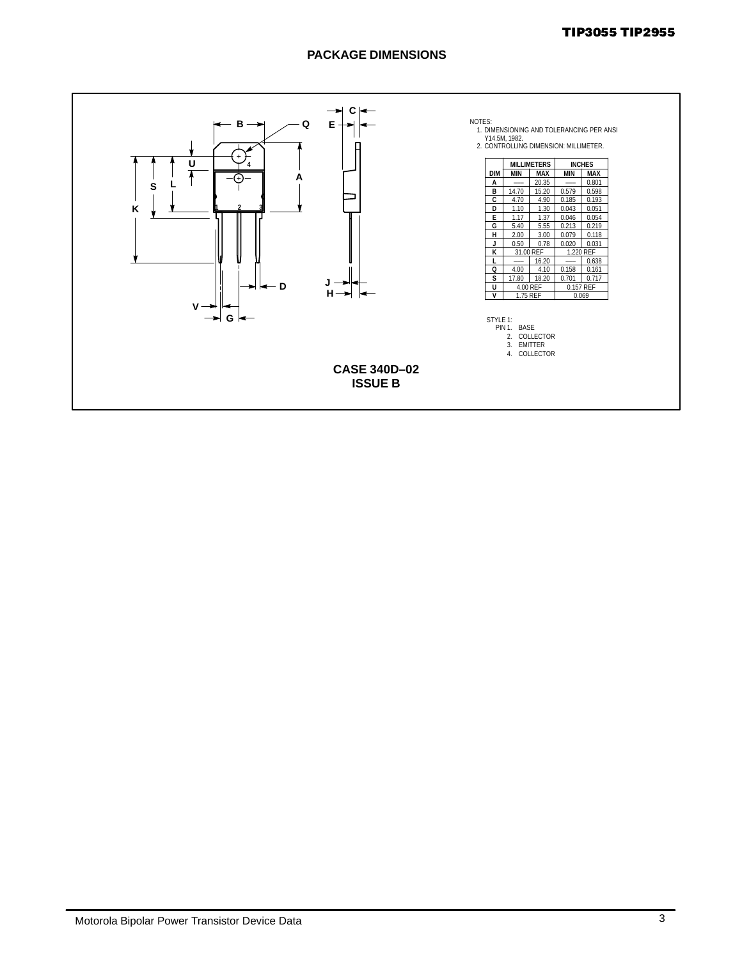### TIP3055 TIP2955

### **PACKAGE DIMENSIONS**